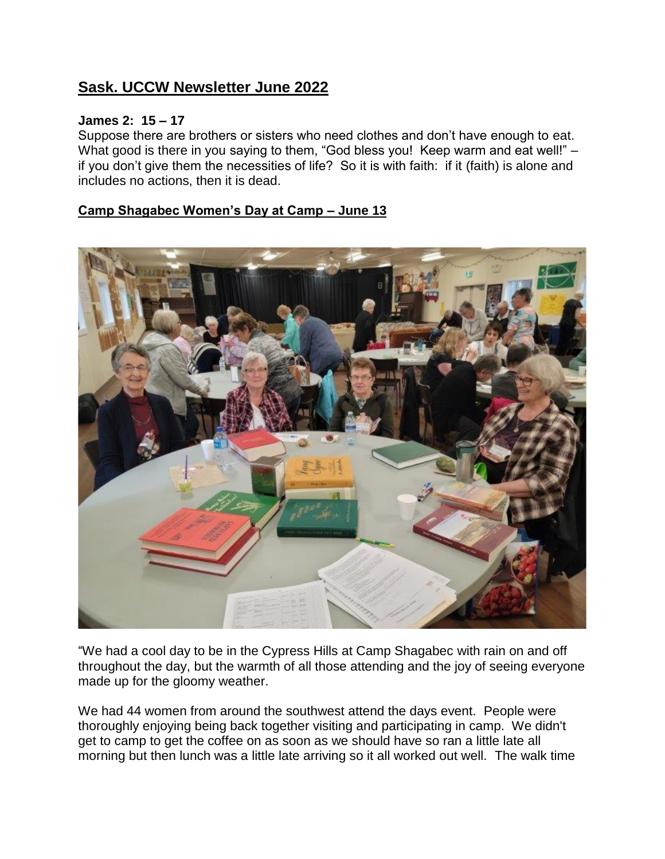## **Sask. UCCW Newsletter June 2022**

#### **James 2: 15 – 17**

Suppose there are brothers or sisters who need clothes and don't have enough to eat. What good is there in you saying to them, "God bless you! Keep warm and eat well!" – if you don't give them the necessities of life? So it is with faith: if it (faith) is alone and includes no actions, then it is dead.

#### **Camp Shagabec Women's Day at Camp – June 13**



"We had a cool day to be in the Cypress Hills at Camp Shagabec with rain on and off throughout the day, but the warmth of all those attending and the joy of seeing everyone made up for the gloomy weather.

We had 44 women from around the southwest attend the days event. People were thoroughly enjoying being back together visiting and participating in camp. We didn't get to camp to get the coffee on as soon as we should have so ran a little late all morning but then lunch was a little late arriving so it all worked out well. The walk time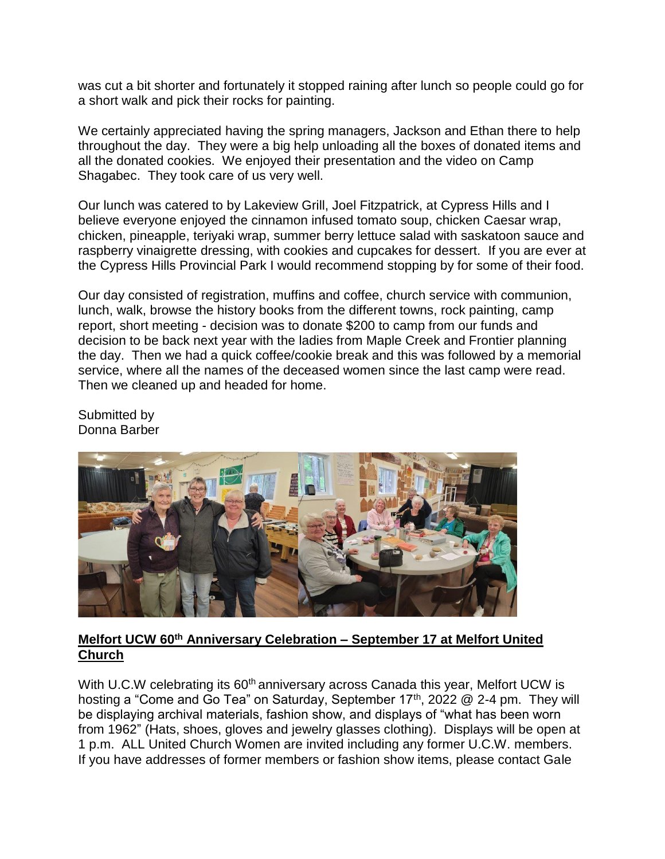was cut a bit shorter and fortunately it stopped raining after lunch so people could go for a short walk and pick their rocks for painting.

We certainly appreciated having the spring managers, Jackson and Ethan there to help throughout the day. They were a big help unloading all the boxes of donated items and all the donated cookies. We enjoyed their presentation and the video on Camp Shagabec. They took care of us very well.

Our lunch was catered to by Lakeview Grill, Joel Fitzpatrick, at Cypress Hills and I believe everyone enjoyed the cinnamon infused tomato soup, chicken Caesar wrap, chicken, pineapple, teriyaki wrap, summer berry lettuce salad with saskatoon sauce and raspberry vinaigrette dressing, with cookies and cupcakes for dessert. If you are ever at the Cypress Hills Provincial Park I would recommend stopping by for some of their food.

Our day consisted of registration, muffins and coffee, church service with communion, lunch, walk, browse the history books from the different towns, rock painting, camp report, short meeting - decision was to donate \$200 to camp from our funds and decision to be back next year with the ladies from Maple Creek and Frontier planning the day. Then we had a quick coffee/cookie break and this was followed by a memorial service, where all the names of the deceased women since the last camp were read. Then we cleaned up and headed for home.

Submitted by Donna Barber



#### **Melfort UCW 60th Anniversary Celebration – September 17 at Melfort United Church**

With U.C.W celebrating its 60<sup>th</sup> anniversary across Canada this year, Melfort UCW is hosting a "Come and Go Tea" on Saturday, September 17<sup>th</sup>, 2022 @ 2-4 pm. They will be displaying archival materials, fashion show, and displays of "what has been worn from 1962" (Hats, shoes, gloves and jewelry glasses clothing). Displays will be open at 1 p.m. ALL United Church Women are invited including any former U.C.W. members. If you have addresses of former members or fashion show items, please contact Gale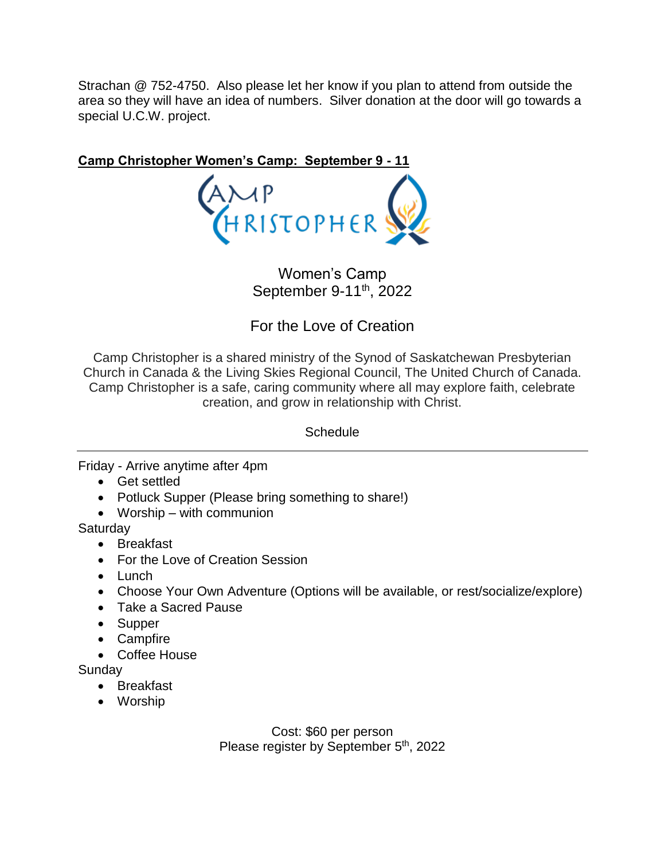Strachan @ 752-4750. Also please let her know if you plan to attend from outside the area so they will have an idea of numbers. Silver donation at the door will go towards a special U.C.W. project.

**Camp Christopher Women's Camp: September 9 - 11** AMP<br>HRISTOPHER

> Women's Camp September 9-11<sup>th</sup>, 2022

For the Love of Creation

Camp Christopher is a shared ministry of the Synod of Saskatchewan Presbyterian Church in Canada & the Living Skies Regional Council, The United Church of Canada. Camp Christopher is a safe, caring community where all may explore faith, celebrate creation, and grow in relationship with Christ.

**Schedule** 

Friday - Arrive anytime after 4pm

- Get settled
- Potluck Supper (Please bring something to share!)
- Worship with communion

**Saturday** 

- Breakfast
- For the Love of Creation Session
- Lunch
- Choose Your Own Adventure (Options will be available, or rest/socialize/explore)
- Take a Sacred Pause
- Supper
- Campfire
- Coffee House

**Sundav** 

- Breakfast
- Worship

Cost: \$60 per person Please register by September 5<sup>th</sup>, 2022